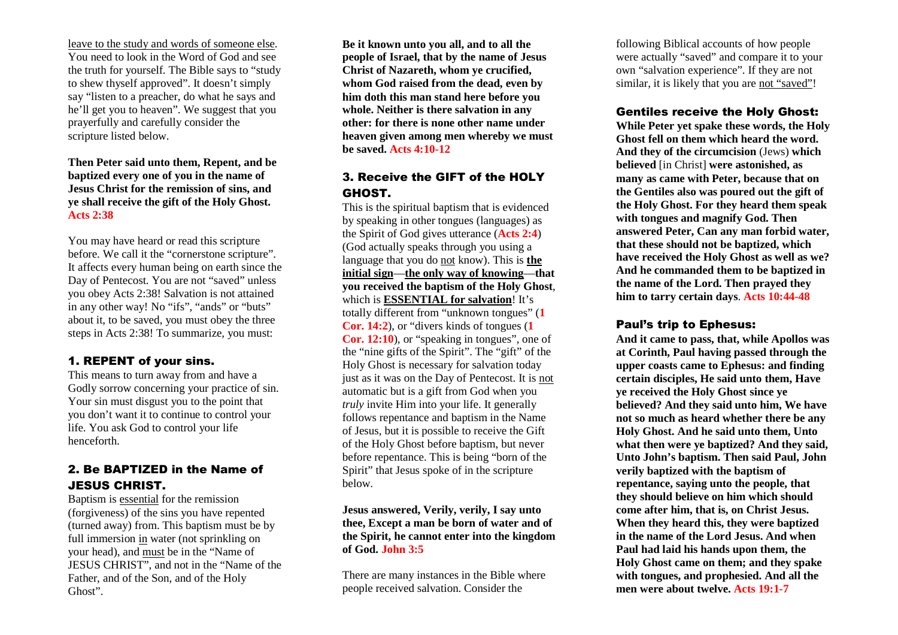leave to the study and words of someone else. You need to look in the Word of God and see the truth for yourself. The Bible says to "study to shew thyself approved". It doesn't simply say "listen to a preacher, do what he says and he'll get you to heaven". We suggest that you prayerfully and carefully consider the scripture listed below.

**Then Peter said unto them, Repent, and be baptized every one of you in the name of Jesus Christ for the remission of sins, and ye shall receive the gift of the Holy Ghost. Acts 2:38**

You may have heard or read this scripture before. We call it the "cornerstone scripture". It affects every human being on earth since the Day of Pentecost. You are not "saved" unless you obey Acts 2:38! Salvation is not attained in any other way! No "ifs", "ands" or "buts" about it, to be saved, you must obey the three steps in Acts 2:38! To summarize, you must:

#### 1. REPENT of your sins.

 This means to turn away from and have a Godly sorrow concerning your practice of sin. Your sin must disgust you to the point that you don't want it to continue to control your life. You ask God to control your life henceforth.

### 2. Be BAPTIZED in the Name of JESUS CHRIST.

 Baptism is essential for the remission (forgiveness) of the sins you have repented (turned away) from. This baptism must be by full immersion in water (not sprinkling on your head), and must be in the "Name of JESUS CHRIST", and not in the "Name of the Father, and of the Son, and of the Holy Ghost".

**Be it known unto you all, and to all the people of Israel, that by the name of Jesus Christ of Nazareth, whom ye crucified, whom God raised from the dead, even by him doth this man stand here before you whole. Neither is there salvation in any other: for there is none other name under heaven given among men whereby we must be saved. Acts 4:10-12**

## 3. Receive the GIFT of the HOLY GHOST.

 This is the spiritual baptism that is evidenced by speaking in other tongues (languages) as the Spirit of God gives utterance (**Acts 2:4**) (God actually speaks through you using a language that you do not know). This is **the initial sign**—**the only way of knowing**—**that you received the baptism of the Holy Ghost**, which is **ESSENTIAL for salvation**! It's totally different from "unknown tongues" (**1 Cor. 14:2**), or "divers kinds of tongues (**1 Cor. 12:10**), or "speaking in tongues", one of the "nine gifts of the Spirit". The "gift" of the Holy Ghost is necessary for salvation today just as it was on the Day of Pentecost. It is notautomatic but is a gift from God when you *truly* invite Him into your life. It generally follows repentance and baptism in the Name of Jesus, but it is possible to receive the Gift of the Holy Ghost before baptism, but never before repentance. This is being "born of the Spirit" that Jesus spoke of in the scripture below.

#### **Jesus answered, Verily, verily, I say unto thee, Except a man be born of water and of the Spirit, he cannot enter into the kingdom of God. John 3:5**

There are many instances in the Bible where people received salvation. Consider the

following Biblical accounts of how people were actually "saved" and compare it to your own "salvation experience". If they are not similar, it is likely that you are not "saved"!

#### Gentiles receive the Holy Ghost:

 **While Peter yet spake these words, the Holy Ghost fell on them which heard the word. And they of the circumcision** (Jews) **which believed** [in Christ] **were astonished, as many as came with Peter, because that on the Gentiles also was poured out the gift of the Holy Ghost. For they heard them speak with tongues and magnify God. Then answered Peter, Can any man forbid water, that these should not be baptized, which have received the Holy Ghost as well as we? And he commanded them to be baptized in the name of the Lord. Then prayed they him to tarry certain days**. **Acts 10:44-48**

#### Paul's trip to Ephesus:

 **And it came to pass, that, while Apollos was at Corinth, Paul having passed through the upper coasts came to Ephesus: and finding certain disciples, He said unto them, Have ye received the Holy Ghost since ye believed? And they said unto him, We have not so much as heard whether there be any Holy Ghost. And he said unto them, Unto what then were ye baptized? And they said, Unto John's baptism. Then said Paul, John verily baptized with the baptism of repentance, saying unto the people, that they should believe on him which should come after him, that is, on Christ Jesus. When they heard this, they were baptized in the name of the Lord Jesus. And when Paul had laid his hands upon them, the Holy Ghost came on them; and they spake with tongues, and prophesied. And all the men were about twelve. Acts 19:1-7**